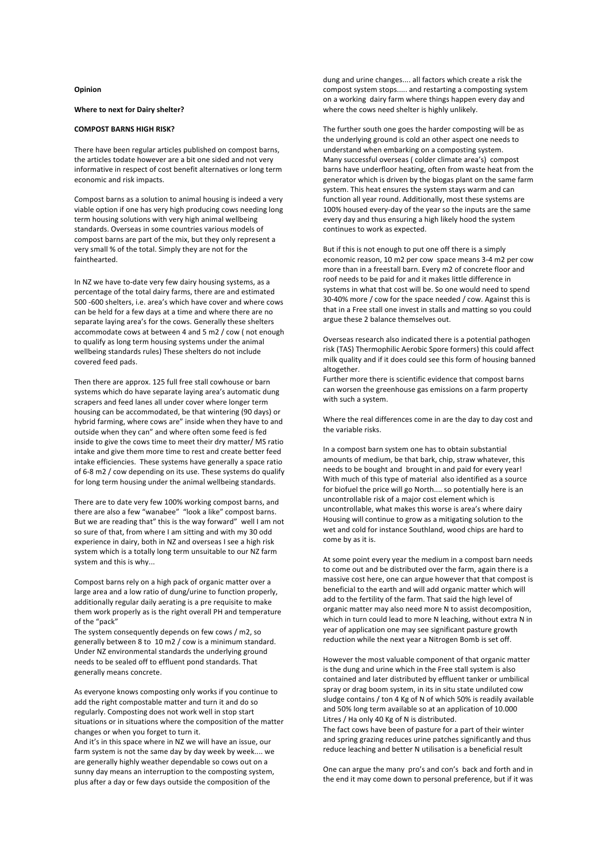## **Opinion**

## **Where to next for Dairy shelter?**

## **COMPOST BARNS HIGH RISK?**

There have been regular articles published on compost barns, the articles todate however are a bit one sided and not very informative in respect of cost benefit alternatives or long term economic and risk impacts.

Compost barns as a solution to animal housing is indeed a very viable option if one has very high producing cows needing long term housing solutions with very high animal wellbeing standards. Overseas in some countries various models of compost barns are part of the mix, but they only represent a very small % of the total. Simply they are not for the fainthearted.

In NZ we have to-date very few dairy housing systems, as a percentage of the total dairy farms, there are and estimated 500 -600 shelters, i.e. area's which have cover and where cows can be held for a few days at a time and where there are no separate laying area's for the cows. Generally these shelters accommodate cows at between 4 and 5 m2 / cow ( not enough to qualify as long term housing systems under the animal wellbeing standards rules) These shelters do not include covered feed pads.

Then there are approx. 125 full free stall cowhouse or barn systems which do have separate laying area's automatic dung scrapers and feed lanes all under cover where longer term housing can be accommodated, be that wintering (90 days) or hybrid farming, where cows are" inside when they have to and outside when they can" and where often some feed is fed inside to give the cows time to meet their dry matter/ MS ratio intake and give them more time to rest and create better feed intake efficiencies. These systems have generally a space ratio of 6-8 m2 / cow depending on its use. These systems do qualify for long term housing under the animal wellbeing standards.

There are to date very few 100% working compost barns, and there are also a few "wanabee" "look a like" compost barns. But we are reading that" this is the way forward" well I am not so sure of that, from where I am sitting and with my 30 odd experience in dairy, both in NZ and overseas I see a high risk system which is a totally long term unsuitable to our NZ farm system and this is why...

Compost barns rely on a high pack of organic matter over a large area and a low ratio of dung/urine to function properly, additionally regular daily aerating is a pre requisite to make them work properly as is the right overall PH and temperature of the "pack"

The system consequently depends on few cows / m2, so generally between 8 to 10 m2 / cow is a minimum standard. Under NZ environmental standards the underlying ground needs to be sealed off to effluent pond standards. That generally means concrete.

As everyone knows composting only works if you continue to add the right compostable matter and turn it and do so regularly. Composting does not work well in stop start situations or in situations where the composition of the matter changes or when you forget to turn it.

And it's in this space where in NZ we will have an issue, our farm system is not the same day by day week by week.... we are generally highly weather dependable so cows out on a sunny day means an interruption to the composting system, plus after a day or few days outside the composition of the

dung and urine changes.... all factors which create a risk the compost system stops..... and restarting a composting system on a working dairy farm where things happen every day and where the cows need shelter is highly unlikely.

The further south one goes the harder composting will be as the underlying ground is cold an other aspect one needs to understand when embarking on a composting system. Many successful overseas ( colder climate area's) compost barns have underfloor heating, often from waste heat from the generator which is driven by the biogas plant on the same farm system. This heat ensures the system stays warm and can function all year round. Additionally, most these systems are 100% housed every-day of the year so the inputs are the same every day and thus ensuring a high likely hood the system continues to work as expected.

But if this is not enough to put one off there is a simply economic reason, 10 m2 per cow space means 3-4 m2 per cow more than in a freestall barn. Every m2 of concrete floor and roof needs to be paid for and it makes little difference in systems in what that cost will be. So one would need to spend 30-40% more / cow for the space needed / cow. Against this is that in a Free stall one invest in stalls and matting so you could argue these 2 balance themselves out.

Overseas research also indicated there is a potential pathogen risk (TAS) Thermophilic Aerobic Spore formers) this could affect milk quality and if it does could see this form of housing banned altogether.

Further more there is scientific evidence that compost barns can worsen the greenhouse gas emissions on a farm property with such a system.

Where the real differences come in are the day to day cost and the variable risks.

In a compost barn system one has to obtain substantial amounts of medium, be that bark, chip, straw whatever, this needs to be bought and brought in and paid for every year! With much of this type of material also identified as a source for biofuel the price will go North.... so potentially here is an uncontrollable risk of a major cost element which is uncontrollable, what makes this worse is area's where dairy Housing will continue to grow as a mitigating solution to the wet and cold for instance Southland, wood chips are hard to come by as it is.

At some point every year the medium in a compost barn needs to come out and be distributed over the farm, again there is a massive cost here, one can argue however that that compost is beneficial to the earth and will add organic matter which will add to the fertility of the farm. That said the high level of organic matter may also need more N to assist decomposition, which in turn could lead to more N leaching, without extra N in year of application one may see significant pasture growth reduction while the next year a Nitrogen Bomb is set off.

However the most valuable component of that organic matter is the dung and urine which in the Free stall system is also contained and later distributed by effluent tanker or umbilical spray or drag boom system, in its in situ state undiluted cow sludge contains / ton 4 Kg of N of which 50% is readily available and 50% long term available so at an application of 10.000 Litres / Ha only 40 Kg of N is distributed. The fact cows have been of pasture for a part of their winter and spring grazing reduces urine patches significantly and thus reduce leaching and better N utilisation is a beneficial result

One can argue the many pro's and con's back and forth and in the end it may come down to personal preference, but if it was